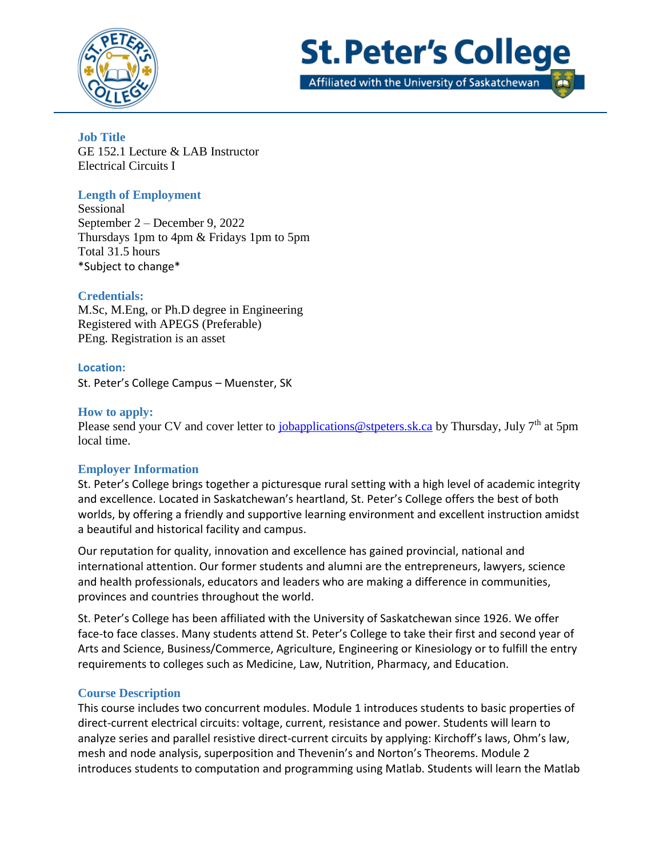



Affiliated with the University of Saskatchewan

**Job Title**  GE 152.1 Lecture & LAB Instructor Electrical Circuits I

# **Length of Employment**

Sessional September 2 – December 9, 2022 Thursdays 1pm to 4pm & Fridays 1pm to 5pm Total 31.5 hours \*Subject to change\*

## **Credentials:**

M.Sc, M.Eng, or Ph.D degree in Engineering Registered with APEGS (Preferable) PEng. Registration is an asset

### **Location:**

St. Peter's College Campus – Muenster, SK

### **How to apply:**

Please send your CV and cover letter to *jobapplications@stpeters.sk.ca* by Thursday, July 7<sup>th</sup> at 5pm local time.

### **Employer Information**

St. Peter's College brings together a picturesque rural setting with a high level of academic integrity and excellence. Located in Saskatchewan's heartland, St. Peter's College offers the best of both worlds, by offering a friendly and supportive learning environment and excellent instruction amidst a beautiful and historical facility and campus.

Our reputation for quality, innovation and excellence has gained provincial, national and international attention. Our former students and alumni are the entrepreneurs, lawyers, science and health professionals, educators and leaders who are making a difference in communities, provinces and countries throughout the world.

St. Peter's College has been affiliated with the University of Saskatchewan since 1926. We offer face-to face classes. Many students attend St. Peter's College to take their first and second year of Arts and Science, Business/Commerce, Agriculture, Engineering or Kinesiology or to fulfill the entry requirements to colleges such as Medicine, Law, Nutrition, Pharmacy, and Education.

### **Course Description**

This course includes two concurrent modules. Module 1 introduces students to basic properties of direct-current electrical circuits: voltage, current, resistance and power. Students will learn to analyze series and parallel resistive direct-current circuits by applying: Kirchoff's laws, Ohm's law, mesh and node analysis, superposition and Thevenin's and Norton's Theorems. Module 2 introduces students to computation and programming using Matlab. Students will learn the Matlab